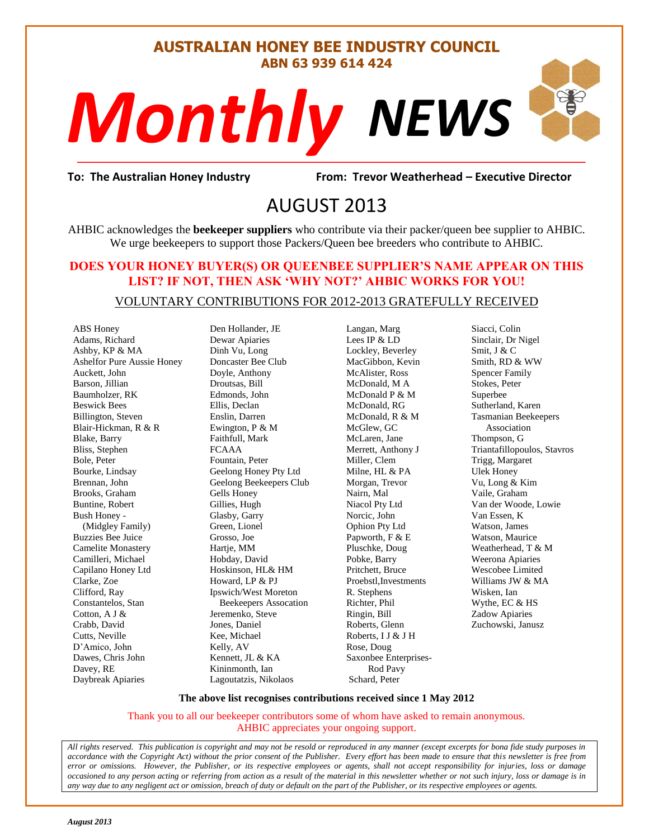#### **AUSTRALIAN HONEY BEE INDUSTRY COUNCIL ABN 63 939 614 424**

# *NEWS Monthly*

evor Weatherh<br>13 **To: The Australian Honey Industry From: Trevor Weatherhead – Executive Director**

## AUGUST 2013

AHBIC acknowledges the **beekeeper suppliers** who contribute via their packer/queen bee supplier to AHBIC. We urge beekeepers to support those Packers/Queen bee breeders who contribute to AHBIC.

#### **DOES YOUR HONEY BUYER(S) OR QUEENBEE SUPPLIER'S NAME APPEAR ON THIS LIST? IF NOT, THEN ASK 'WHY NOT?' AHBIC WORKS FOR YOU!**

#### VOLUNTARY CONTRIBUTIONS FOR 2012-2013 GRATEFULLY RECEIVED

ABS Honey Adams, Richard Ashby, KP & MA Ashelfor Pure Aussie Honey Auckett, John Barson, Jillian Baumholzer, RK Beswick Bees Billington, Steven Blair-Hickman, R & R Blake, Barry Bliss, Stephen Bole, Peter Bourke, Lindsay Brennan, John Brooks, Graham Buntine, Robert Bush Honey - (Midgley Family) Buzzies Bee Juice Camelite Monastery Camilleri, Michael Capilano Honey Ltd Clarke, Zoe Clifford, Ray Constantelos, Stan Cotton, A J & Crabb, David Cutts, Neville D'Amico, John Dawes, Chris John Davey, RE Daybreak Apiaries

Den Hollander, JE Dewar Apiaries Dinh Vu, Long Doncaster Bee Club Doyle, Anthony Droutsas, Bill Edmonds, John Ellis, Declan Enslin, Darren Ewington, P & M Faithfull, Mark FCAAA Fountain, Peter Geelong Honey Pty Ltd Geelong Beekeepers Club Gells Honey Gillies, Hugh Glasby, Garry Green, Lionel Grosso, Joe Hartje, MM Hobday, David Hoskinson, HL& HM Howard, LP & PJ Ipswich/West Moreton Beekeepers Assocation Jeremenko, Steve Jones, Daniel Kee, Michael Kelly, AV Kennett, JL & KA Kininmonth, Ian Lagoutatzis, Nikolaos

Langan, Marg Lees IP & LD Lockley, Beverley MacGibbon, Kevin McAlister, Ross McDonald, M A McDonald P & M McDonald, RG McDonald, R & M McGlew, GC McLaren, Jane Merrett, Anthony J Miller, Clem Milne, HL & PA Morgan, Trevor Nairn, Mal Niacol Pty Ltd Norcic, John Ophion Pty Ltd Papworth, F & E Pluschke, Doug Pobke, Barry Pritchett, Bruce Proebstl,Investments R. Stephens Richter, Phil Ringin, Bill Roberts, Glenn Roberts, I J & J H Rose, Doug Saxonbee Enterprises- Rod Pavy Schard, Peter

Siacci, Colin Sinclair, Dr Nigel Smit, J & C Smith, RD & WW Spencer Family Stokes, Peter Superbee Sutherland, Karen Tasmanian Beekeepers Association Thompson, G Triantafillopoulos, Stavros Trigg, Margaret Ulek Honey Vu, Long & Kim Vaile, Graham Van der Woode, Lowie Van Essen, K Watson, James Watson, Maurice Weatherhead, T & M Weerona Apiaries Wescobee Limited Williams JW & MA Wisken, Ian Wythe, EC & HS Zadow Apiaries Zuchowski, Janusz

S

#### **The above list recognises contributions received since 1 May 2012**

Thank you to all our beekeeper contributors some of whom have asked to remain anonymous. AHBIC appreciates your ongoing support.

*All rights reserved. This publication is copyright and may not be resold or reproduced in any manner (except excerpts for bona fide study purposes in accordance with the Copyright Act) without the prior consent of the Publisher. Every effort has been made to ensure that this newsletter is free from error or omissions. However, the Publisher, or its respective employees or agents, shall not accept responsibility for injuries, loss or damage occasioned to any person acting or referring from action as a result of the material in this newsletter whether or not such injury, loss or damage is in any way due to any negligent act or omission, breach of duty or default on the part of the Publisher, or its respective employees or agents.*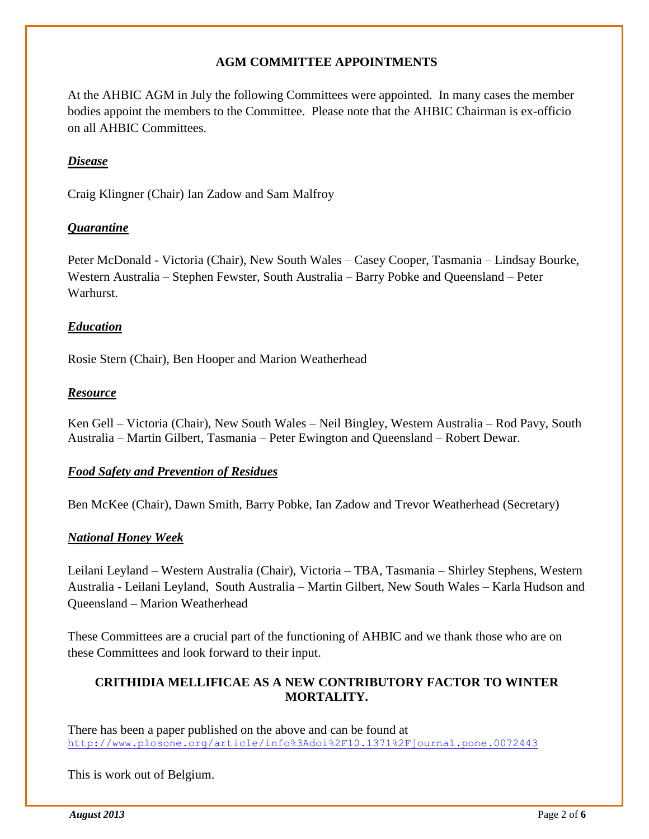#### **AGM COMMITTEE APPOINTMENTS**

At the AHBIC AGM in July the following Committees were appointed. In many cases the member bodies appoint the members to the Committee. Please note that the AHBIC Chairman is ex-officio on all AHBIC Committees.

#### *Disease*

Craig Klingner (Chair) Ian Zadow and Sam Malfroy

#### *Quarantine*

Peter McDonald - Victoria (Chair), New South Wales – Casey Cooper, Tasmania – Lindsay Bourke, Western Australia – Stephen Fewster, South Australia – Barry Pobke and Queensland – Peter Warhurst.

#### *Education*

Rosie Stern (Chair), Ben Hooper and Marion Weatherhead

#### *Resource*

Ken Gell – Victoria (Chair), New South Wales – Neil Bingley, Western Australia – Rod Pavy, South Australia – Martin Gilbert, Tasmania – Peter Ewington and Queensland – Robert Dewar.

#### *Food Safety and Prevention of Residues*

Ben McKee (Chair), Dawn Smith, Barry Pobke, Ian Zadow and Trevor Weatherhead (Secretary)

#### *National Honey Week*

Leilani Leyland – Western Australia (Chair), Victoria – TBA, Tasmania – Shirley Stephens, Western Australia - Leilani Leyland, South Australia – Martin Gilbert, New South Wales – Karla Hudson and Queensland – Marion Weatherhead

These Committees are a crucial part of the functioning of AHBIC and we thank those who are on these Committees and look forward to their input.

#### **CRITHIDIA MELLIFICAE AS A NEW CONTRIBUTORY FACTOR TO WINTER MORTALITY.**

There has been a paper published on the above and can be found at <http://www.plosone.org/article/info%3Adoi%2F10.1371%2Fjournal.pone.0072443>

This is work out of Belgium.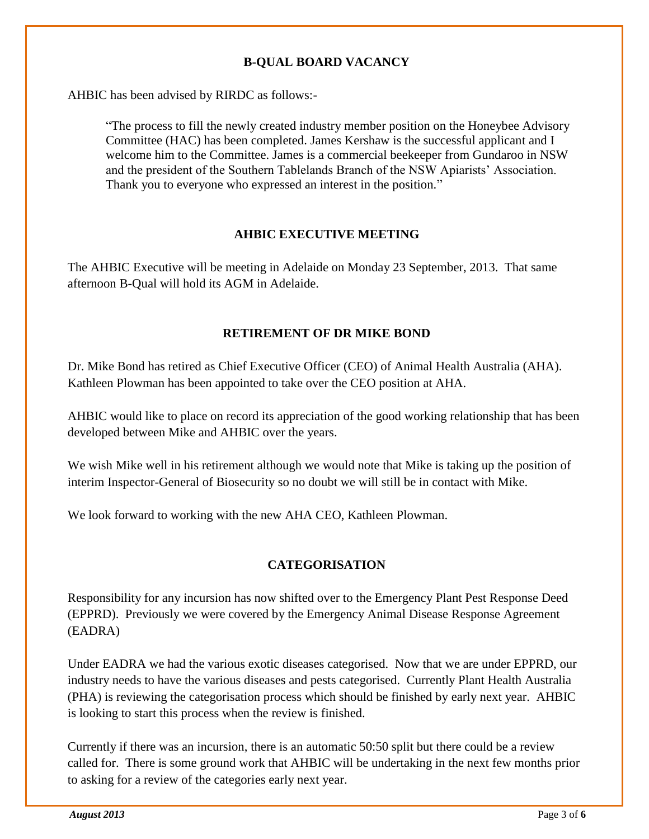#### **B-QUAL BOARD VACANCY**

AHBIC has been advised by RIRDC as follows:-

"The process to fill the newly created industry member position on the Honeybee Advisory Committee (HAC) has been completed. James Kershaw is the successful applicant and I welcome him to the Committee. James is a commercial beekeeper from Gundaroo in NSW and the president of the Southern Tablelands Branch of the NSW Apiarists' Association. Thank you to everyone who expressed an interest in the position."

#### **AHBIC EXECUTIVE MEETING**

The AHBIC Executive will be meeting in Adelaide on Monday 23 September, 2013. That same afternoon B-Qual will hold its AGM in Adelaide.

#### **RETIREMENT OF DR MIKE BOND**

Dr. Mike Bond has retired as Chief Executive Officer (CEO) of Animal Health Australia (AHA). Kathleen Plowman has been appointed to take over the CEO position at AHA.

AHBIC would like to place on record its appreciation of the good working relationship that has been developed between Mike and AHBIC over the years.

We wish Mike well in his retirement although we would note that Mike is taking up the position of interim Inspector-General of Biosecurity so no doubt we will still be in contact with Mike.

We look forward to working with the new AHA CEO, Kathleen Plowman.

#### **CATEGORISATION**

Responsibility for any incursion has now shifted over to the Emergency Plant Pest Response Deed (EPPRD). Previously we were covered by the Emergency Animal Disease Response Agreement (EADRA)

Under EADRA we had the various exotic diseases categorised. Now that we are under EPPRD, our industry needs to have the various diseases and pests categorised. Currently Plant Health Australia (PHA) is reviewing the categorisation process which should be finished by early next year. AHBIC is looking to start this process when the review is finished.

Currently if there was an incursion, there is an automatic 50:50 split but there could be a review called for. There is some ground work that AHBIC will be undertaking in the next few months prior to asking for a review of the categories early next year.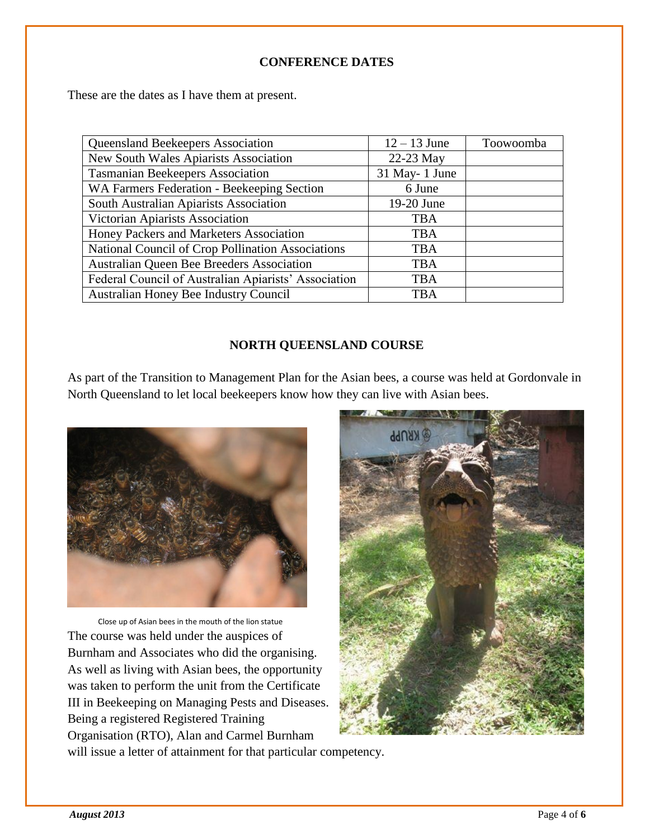#### **CONFERENCE DATES**

These are the dates as I have them at present.

| <b>Queensland Beekeepers Association</b>             | $12 - 13$ June | Toowoomba |
|------------------------------------------------------|----------------|-----------|
| New South Wales Apiarists Association                | 22-23 May      |           |
| <b>Tasmanian Beekeepers Association</b>              | 31 May-1 June  |           |
| WA Farmers Federation - Beekeeping Section           | 6 June         |           |
| South Australian Apiarists Association               | 19-20 June     |           |
| Victorian Apiarists Association                      | <b>TBA</b>     |           |
| Honey Packers and Marketers Association              | <b>TBA</b>     |           |
| National Council of Crop Pollination Associations    | <b>TBA</b>     |           |
| Australian Queen Bee Breeders Association            | <b>TBA</b>     |           |
| Federal Council of Australian Apiarists' Association | <b>TBA</b>     |           |
| Australian Honey Bee Industry Council                | <b>TBA</b>     |           |

#### **NORTH QUEENSLAND COURSE**

As part of the Transition to Management Plan for the Asian bees, a course was held at Gordonvale in North Queensland to let local beekeepers know how they can live with Asian bees.



 Close up of Asian bees in the mouth of the lion statue The course was held under the auspices of Burnham and Associates who did the organising. As well as living with Asian bees, the opportunity was taken to perform the unit from the Certificate III in Beekeeping on Managing Pests and Diseases. Being a registered Registered Training Organisation (RTO), Alan and Carmel Burnham



will issue a letter of attainment for that particular competency.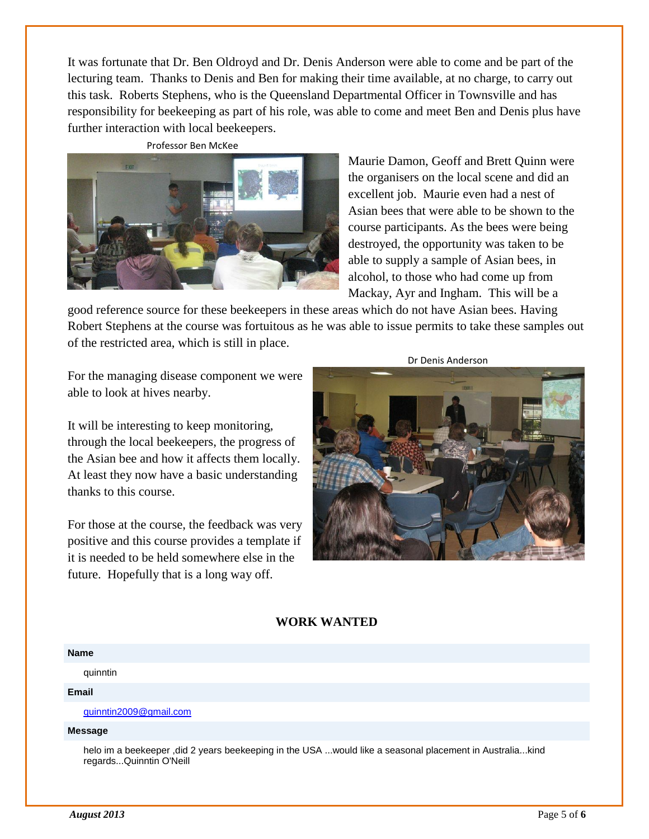It was fortunate that Dr. Ben Oldroyd and Dr. Denis Anderson were able to come and be part of the lecturing team. Thanks to Denis and Ben for making their time available, at no charge, to carry out this task. Roberts Stephens, who is the Queensland Departmental Officer in Townsville and has responsibility for beekeeping as part of his role, was able to come and meet Ben and Denis plus have further interaction with local beekeepers.





Maurie Damon, Geoff and Brett Quinn were the organisers on the local scene and did an excellent job. Maurie even had a nest of Asian bees that were able to be shown to the course participants. As the bees were being destroyed, the opportunity was taken to be able to supply a sample of Asian bees, in alcohol, to those who had come up from Mackay, Ayr and Ingham. This will be a

good reference source for these beekeepers in these areas which do not have Asian bees. Having Robert Stephens at the course was fortuitous as he was able to issue permits to take these samples out of the restricted area, which is still in place.

For the managing disease component we were able to look at hives nearby.

It will be interesting to keep monitoring, through the local beekeepers, the progress of the Asian bee and how it affects them locally. At least they now have a basic understanding thanks to this course.

For those at the course, the feedback was very positive and this course provides a template if it is needed to be held somewhere else in the future. Hopefully that is a long way off.



### **WORK WANTED**

#### **Name**

quinntin

#### **Email**

[quinntin2009@gmail.com](mailto:quinntin2009@gmail.com)

#### **Message**

helo im a beekeeper ,did 2 years beekeeping in the USA ...would like a seasonal placement in Australia...kind regards...Quinntin O'Neill